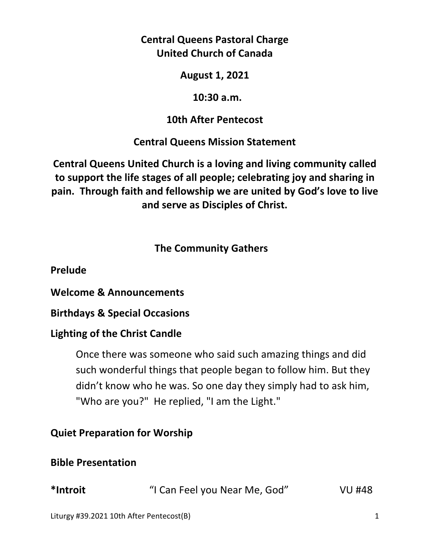# **Central Queens Pastoral Charge United Church of Canada**

### **August 1, 2021**

### **10:30 a.m.**

# **10th After Pentecost**

# **Central Queens Mission Statement**

**Central Queens United Church is a loving and living community called to support the life stages of all people; celebrating joy and sharing in pain. Through faith and fellowship we are united by God's love to live and serve as Disciples of Christ.**

# **The Community Gathers**

**Prelude** 

**Welcome & Announcements** 

**Birthdays & Special Occasions** 

## **Lighting of the Christ Candle**

Once there was someone who said such amazing things and did such wonderful things that people began to follow him. But they didn't know who he was. So one day they simply had to ask him, "Who are you?" He replied, "I am the Light."

# **Quiet Preparation for Worship**

## **Bible Presentation**

| *Introit | "I Can Feel you Near Me, God" | <b>VU #48</b> |
|----------|-------------------------------|---------------|
|----------|-------------------------------|---------------|

Liturgy #39.2021 10th After Pentecost(B) 1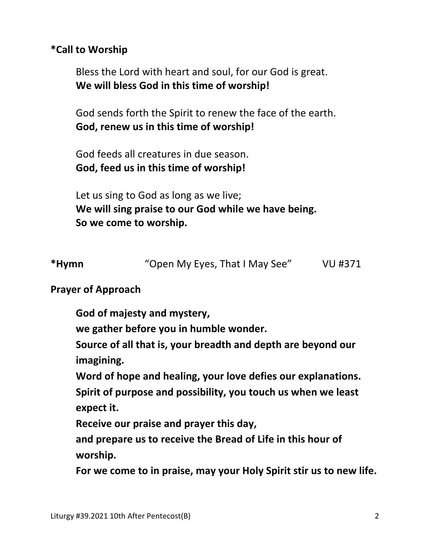### **\*Call to Worship**

Bless the Lord with heart and soul, for our God is great.  **We will bless God in this time of worship!** 

 God sends forth the Spirit to renew the face of the earth.  **God, renew us in this time of worship!** 

 God feeds all creatures in due season.  **God, feed us in this time of worship!** 

 Let us sing to God as long as we live;  **We will sing praise to our God while we have being. So we come to worship.** 

|                                | VU #371 |
|--------------------------------|---------|
| "Open My Eyes, That I May See" |         |

#### **Prayer of Approach**

 **God of majesty and mystery,** 

 **we gather before you in humble wonder.** 

 **Source of all that is, your breadth and depth are beyond our imagining.** 

 **Word of hope and healing, your love defies our explanations.** 

 **Spirit of purpose and possibility, you touch us when we least expect it.** 

 **Receive our praise and prayer this day,** 

 **and prepare us to receive the Bread of Life in this hour of worship.** 

 **For we come to in praise, may your Holy Spirit stir us to new life.**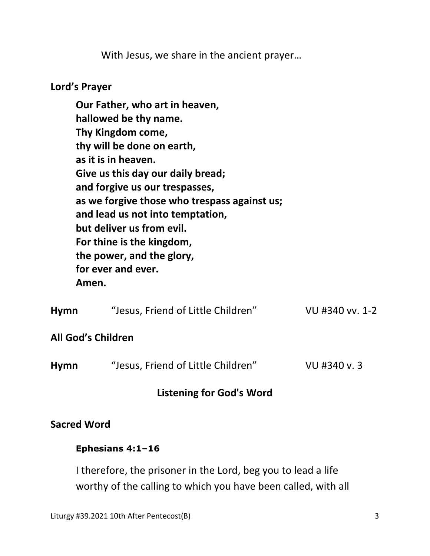With Jesus, we share in the ancient prayer…

### **Lord's Prayer**

**Our Father, who art in heaven, hallowed be thy name. Thy Kingdom come, thy will be done on earth, as it is in heaven. Give us this day our daily bread; and forgive us our trespasses, as we forgive those who trespass against us; and lead us not into temptation, but deliver us from evil. For thine is the kingdom, the power, and the glory, for ever and ever. Amen.** 

| <b>Hymn</b>               | "Jesus, Friend of Little Children" | VU #340 vv. 1-2 |
|---------------------------|------------------------------------|-----------------|
| <b>All God's Children</b> |                                    |                 |

| <b>Hymn</b> | "Jesus, Friend of Little Children" | VU #340 v.3 |
|-------------|------------------------------------|-------------|
|             |                                    |             |

## **Listening for God's Word**

#### **Sacred Word**

#### **Ephesians 4:1–16**

I therefore, the prisoner in the Lord, beg you to lead a life worthy of the calling to which you have been called, with all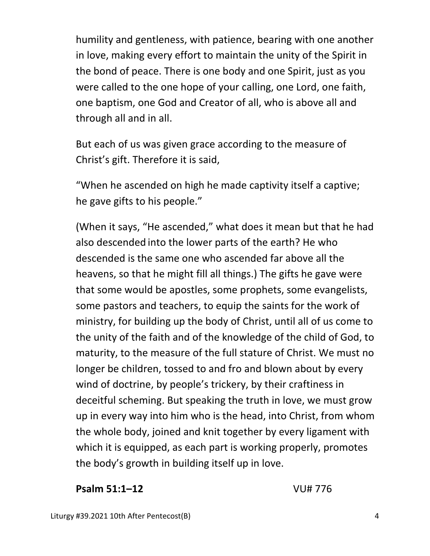humility and gentleness, with patience, bearing with one another in love, making every effort to maintain the unity of the Spirit in the bond of peace. There is one body and one Spirit, just as you were called to the one hope of your calling, one Lord, one faith, one baptism, one God and Creator of all, who is above all and through all and in all.

But each of us was given grace according to the measure of Christ's gift. Therefore it is said,

 "When he ascended on high he made captivity itself a captive; he gave gifts to his people."

(When it says, "He ascended," what does it mean but that he had also descended into the lower parts of the earth? He who descended is the same one who ascended far above all the heavens, so that he might fill all things.) The gifts he gave were that some would be apostles, some prophets, some evangelists, some pastors and teachers, to equip the saints for the work of ministry, for building up the body of Christ, until all of us come to the unity of the faith and of the knowledge of the child of God, to maturity, to the measure of the full stature of Christ. We must no longer be children, tossed to and fro and blown about by every wind of doctrine, by people's trickery, by their craftiness in deceitful scheming. But speaking the truth in love, we must grow up in every way into him who is the head, into Christ, from whom the whole body, joined and knit together by every ligament with which it is equipped, as each part is working properly, promotes the body's growth in building itself up in love.

#### **Psalm 51:1–12** VU# 776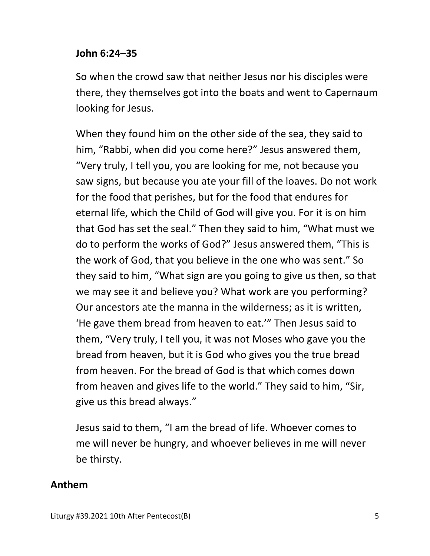### **John 6:24–35**

So when the crowd saw that neither Jesus nor his disciples were there, they themselves got into the boats and went to Capernaum looking for Jesus.

When they found him on the other side of the sea, they said to him, "Rabbi, when did you come here?" Jesus answered them, "Very truly, I tell you, you are looking for me, not because you saw signs, but because you ate your fill of the loaves. Do not work for the food that perishes, but for the food that endures for eternal life, which the Child of God will give you. For it is on him that God has set the seal." Then they said to him, "What must we do to perform the works of God?" Jesus answered them, "This is the work of God, that you believe in the one who was sent." So they said to him, "What sign are you going to give us then, so that we may see it and believe you? What work are you performing? Our ancestors ate the manna in the wilderness; as it is written, 'He gave them bread from heaven to eat.'" Then Jesus said to them, "Very truly, I tell you, it was not Moses who gave you the bread from heaven, but it is God who gives you the true bread from heaven. For the bread of God is that which comes down from heaven and gives life to the world." They said to him, "Sir, give us this bread always."

Jesus said to them, "I am the bread of life. Whoever comes to me will never be hungry, and whoever believes in me will never be thirsty.

#### **Anthem**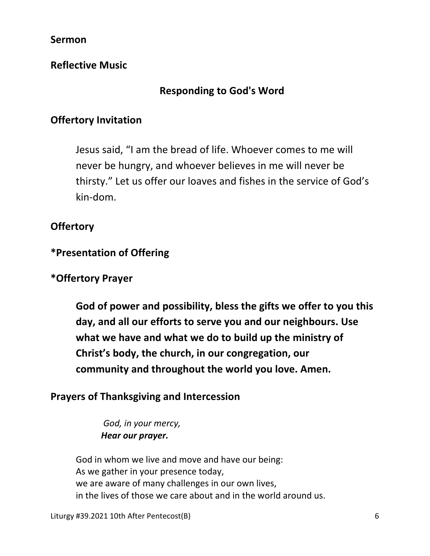**Sermon** 

**Reflective Music** 

# **Responding to God's Word**

### **Offertory Invitation**

 Jesus said, "I am the bread of life. Whoever comes to me will never be hungry, and whoever believes in me will never be thirsty." Let us offer our loaves and fishes in the service of God's kin-dom.

### **Offertory**

### **\*Presentation of Offering**

### **\*Offertory Prayer**

**God of power and possibility, bless the gifts we offer to you this day, and all our efforts to serve you and our neighbours. Use what we have and what we do to build up the ministry of Christ's body, the church, in our congregation, our community and throughout the world you love. Amen.** 

## **Prayers of Thanksgiving and Intercession**

*God, in your mercy, Hear our prayer.* 

 God in whom we live and move and have our being: As we gather in your presence today, we are aware of many challenges in our own lives, in the lives of those we care about and in the world around us.

#### Liturgy #39.2021 10th After Pentecost(B) 6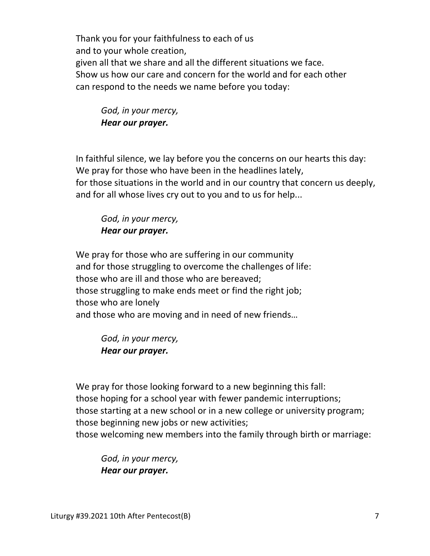Thank you for your faithfulness to each of us and to your whole creation, given all that we share and all the different situations we face. Show us how our care and concern for the world and for each other can respond to the needs we name before you today:

*God, in your mercy, Hear our prayer.* 

 In faithful silence, we lay before you the concerns on our hearts this day: We pray for those who have been in the headlines lately, for those situations in the world and in our country that concern us deeply, and for all whose lives cry out to you and to us for help...

 *God, in your mercy, Hear our prayer.* 

 We pray for those who are suffering in our community and for those struggling to overcome the challenges of life: those who are ill and those who are bereaved; those struggling to make ends meet or find the right job; those who are lonely and those who are moving and in need of new friends…

> *God, in your mercy, Hear our prayer.*

 We pray for those looking forward to a new beginning this fall: those hoping for a school year with fewer pandemic interruptions; those starting at a new school or in a new college or university program; those beginning new jobs or new activities; those welcoming new members into the family through birth or marriage:

*God, in your mercy, Hear our prayer.*